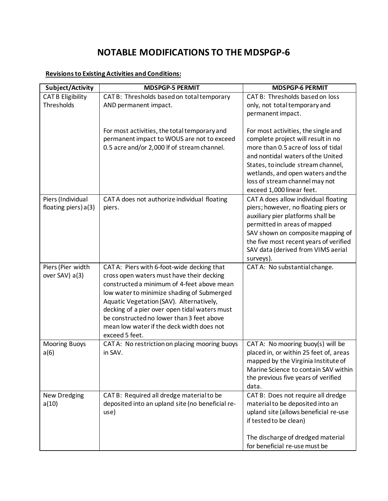# **NOTABLE MODIFICATIONS TO THE MDSPGP-6**

## **Revisions to Existing Activities and Conditions:**

| Subject/Activity                          | <b>MDSPGP-5 PERMIT</b>                                                                                                                                                                                                                                                                                                                                                                       | <b>MDSPGP-6 PERMIT</b>                                                                                                                                                                                                                                                                          |
|-------------------------------------------|----------------------------------------------------------------------------------------------------------------------------------------------------------------------------------------------------------------------------------------------------------------------------------------------------------------------------------------------------------------------------------------------|-------------------------------------------------------------------------------------------------------------------------------------------------------------------------------------------------------------------------------------------------------------------------------------------------|
| <b>CAT B Eligibility</b><br>Thresholds    | CAT B: Thresholds based on total temporary<br>AND permanent impact.                                                                                                                                                                                                                                                                                                                          | CAT B: Thresholds based on loss<br>only, not total temporary and<br>permanent impact.                                                                                                                                                                                                           |
|                                           | For most activities, the total temporary and<br>permanent impact to WOUS are not to exceed<br>0.5 acre and/or 2,000 If of stream channel.                                                                                                                                                                                                                                                    | For most activities, the single and<br>complete project will result in no<br>more than 0.5 acre of loss of tidal<br>and nontidal waters of the United<br>States, to include stream channel,<br>wetlands, and open waters and the<br>loss of stream channel may not<br>exceed 1,000 linear feet. |
| Piers (Individual<br>floating piers) a(3) | CAT A does not authorize individual floating<br>piers.                                                                                                                                                                                                                                                                                                                                       | CAT A does allow individual floating<br>piers; however, no floating piers or<br>auxiliary pier platforms shall be<br>permitted in areas of mapped<br>SAV shown on composite mapping of<br>the five most recent years of verified<br>SAV data (derived from VIMS aerial<br>surveys).             |
| Piers (Pier width<br>over SAV) a(3)       | CAT A: Piers with 6-foot-wide decking that<br>cross open waters must have their decking<br>constructed a minimum of 4-feet above mean<br>low water to minimize shading of Submerged<br>Aquatic Vegetation (SAV). Alternatively,<br>decking of a pier over open tidal waters must<br>be constructed no lower than 3 feet above<br>mean low water if the deck width does not<br>exceed 5 feet. | CATA: No substantial change.                                                                                                                                                                                                                                                                    |
| <b>Mooring Buoys</b><br>a(6)              | CAT A: No restriction on placing mooring buoys<br>in SAV.                                                                                                                                                                                                                                                                                                                                    | CATA: No mooring buoy(s) will be<br>placed in, or within 25 feet of, areas<br>mapped by the Virginia Institute of<br>Marine Science to contain SAV within<br>the previous five years of verified<br>data.                                                                                       |
| New Dredging<br>a(10)                     | CAT B: Required all dredge material to be<br>deposited into an upland site (no beneficial re-<br>use)                                                                                                                                                                                                                                                                                        | CAT B: Does not require all dredge<br>material to be deposited into an<br>upland site (allows beneficial re-use<br>if tested to be clean)<br>The discharge of dredged material<br>for beneficial re-use must be                                                                                 |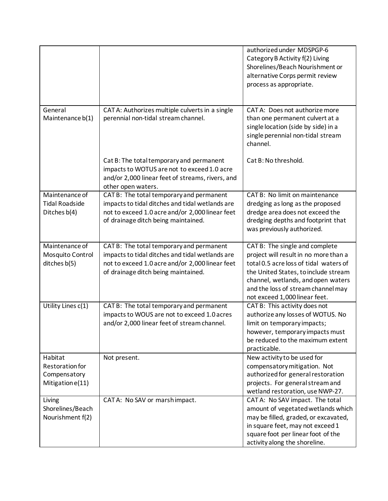|                                                                       |                                                                                                                                                                                       | authorized under MDSPGP-6<br>Category B Activity f(2) Living<br>Shorelines/Beach Nourishment or<br>alternative Corps permit review<br>process as appropriate.                                                                                                          |
|-----------------------------------------------------------------------|---------------------------------------------------------------------------------------------------------------------------------------------------------------------------------------|------------------------------------------------------------------------------------------------------------------------------------------------------------------------------------------------------------------------------------------------------------------------|
| General<br>Maintenance b(1)                                           | CAT A: Authorizes multiple culverts in a single<br>perennial non-tidal stream channel.                                                                                                | CATA: Does not authorize more<br>than one permanent culvert at a<br>single location (side by side) in a<br>single perennial non-tidal stream<br>channel.                                                                                                               |
|                                                                       | Cat B: The total temporary and permanent<br>impacts to WOTUS are not to exceed 1.0 acre<br>and/or 2,000 linear feet of streams, rivers, and<br>other open waters.                     | Cat B: No threshold.                                                                                                                                                                                                                                                   |
| Maintenance of<br><b>Tidal Roadside</b><br>Ditches b(4)               | CAT B: The total temporary and permanent<br>impacts to tidal ditches and tidal wetlands are<br>not to exceed 1.0 acre and/or 2,000 linear feet<br>of drainage ditch being maintained. | CAT B: No limit on maintenance<br>dredging as long as the proposed<br>dredge area does not exceed the<br>dredging depths and footprint that<br>was previously authorized.                                                                                              |
| Maintenance of<br>Mosquito Control<br>ditches b(5)                    | CAT B: The total temporary and permanent<br>impacts to tidal ditches and tidal wetlands are<br>not to exceed 1.0 acre and/or 2,000 linear feet<br>of drainage ditch being maintained. | CAT B: The single and complete<br>project will result in no more than a<br>total 0.5 acre loss of tidal waters of<br>the United States, to include stream<br>channel, wetlands, and open waters<br>and the loss of stream channel may<br>not exceed 1,000 linear feet. |
| Utility Lines c(1)                                                    | CAT B: The total temporary and permanent<br>impacts to WOUS are not to exceed 1.0 acres<br>and/or 2,000 linear feet of stream channel.                                                | CAT B: This activity does not<br>authorize any losses of WOTUS. No<br>limit on temporary impacts;<br>however, temporary impacts must<br>be reduced to the maximum extent<br>practicable.                                                                               |
| Habitat<br><b>Restoration for</b><br>Compensatory<br>Mitigation e(11) | Not present.                                                                                                                                                                          | New activity to be used for<br>compensatory mitigation. Not<br>authorized for general restoration<br>projects. For general stream and<br>wetland restoration, use NWP-27.                                                                                              |
| Living<br>Shorelines/Beach<br>Nourishment f(2)                        | CATA: No SAV or marshimpact.                                                                                                                                                          | CATA: No SAV impact. The total<br>amount of vegetated wetlands which<br>may be filled, graded, or excavated,<br>in square feet, may not exceed 1<br>square foot per linear foot of the<br>activity along the shoreline.                                                |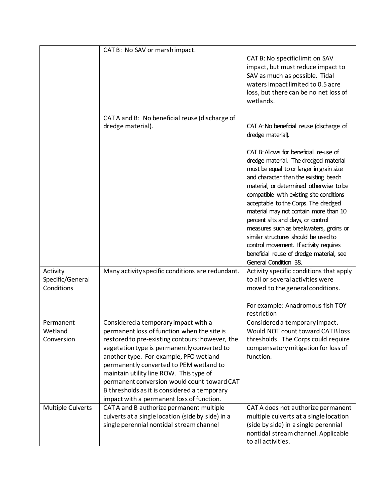|                                            | CAT B: No SAV or marshimpact.                                                                                                                                                                                                                                                                                                                                                                                                                                     |                                                                                                                                                                                                                                                                                                                                                                                                                                                                                                                                                                                       |
|--------------------------------------------|-------------------------------------------------------------------------------------------------------------------------------------------------------------------------------------------------------------------------------------------------------------------------------------------------------------------------------------------------------------------------------------------------------------------------------------------------------------------|---------------------------------------------------------------------------------------------------------------------------------------------------------------------------------------------------------------------------------------------------------------------------------------------------------------------------------------------------------------------------------------------------------------------------------------------------------------------------------------------------------------------------------------------------------------------------------------|
|                                            |                                                                                                                                                                                                                                                                                                                                                                                                                                                                   | CAT B: No specific limit on SAV<br>impact, but must reduce impact to<br>SAV as much as possible. Tidal<br>waters impact limited to 0.5 acre<br>loss, but there can be no net loss of<br>wetlands.                                                                                                                                                                                                                                                                                                                                                                                     |
|                                            | CAT A and B: No beneficial reuse (discharge of<br>dredge material).                                                                                                                                                                                                                                                                                                                                                                                               | CAT A: No beneficial reuse (discharge of<br>dredge material).                                                                                                                                                                                                                                                                                                                                                                                                                                                                                                                         |
|                                            |                                                                                                                                                                                                                                                                                                                                                                                                                                                                   | CAT B: Allows for beneficial re-use of<br>dredge material. The dredged material<br>must be equal to or larger in grain size<br>and character than the existing beach<br>material, or determined otherwise to be<br>compatible with existing site conditions<br>acceptable to the Corps. The dredged<br>material may not contain more than 10<br>percent silts and clays, or control<br>measures such as breakwaters, groins or<br>similar structures should be used to<br>control movement. If activity requires<br>beneficial reuse of dredge material, see<br>General Condition 38. |
| Activity<br>Specific/General<br>Conditions | Many activity specific conditions are redundant.                                                                                                                                                                                                                                                                                                                                                                                                                  | Activity specific conditions that apply<br>to all or several activities were<br>moved to the general conditions.<br>For example: Anadromous fish TOY                                                                                                                                                                                                                                                                                                                                                                                                                                  |
|                                            |                                                                                                                                                                                                                                                                                                                                                                                                                                                                   | restriction                                                                                                                                                                                                                                                                                                                                                                                                                                                                                                                                                                           |
| Permanent<br>Wetland<br>Conversion         | Considered a temporary impact with a<br>permanent loss of function when the site is<br>restored to pre-existing contours; however, the<br>vegetation type is permanently converted to<br>another type. For example, PFO wetland<br>permanently converted to PEM wetland to<br>maintain utility line ROW. This type of<br>permanent conversion would count toward CAT<br>B thresholds as it is considered a temporary<br>impact with a permanent loss of function. | Considered a temporary impact.<br>Would NOT count toward CAT B loss<br>thresholds. The Corps could require<br>compensatory mitigation for loss of<br>function.                                                                                                                                                                                                                                                                                                                                                                                                                        |
| Multiple Culverts                          | CAT A and B authorize permanent multiple<br>culverts at a single location (side by side) in a<br>single perennial nontidal stream channel                                                                                                                                                                                                                                                                                                                         | CAT A does not authorize permanent<br>multiple culverts at a single location<br>(side by side) in a single perennial<br>nontidal stream channel. Applicable<br>to all activities.                                                                                                                                                                                                                                                                                                                                                                                                     |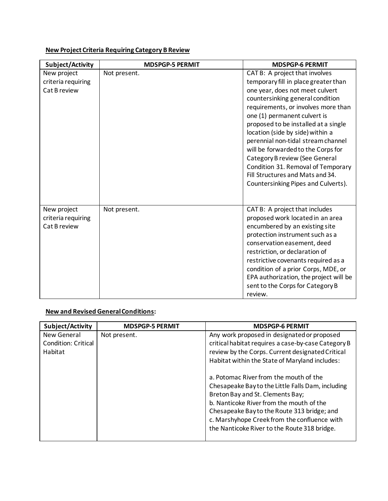# **New Project Criteria Requiring Category B Review**

| Subject/Activity                                  | <b>MDSPGP-5 PERMIT</b> | <b>MDSPGP-6 PERMIT</b>                                                                                                                                                                                                                                                                                                                                                                                                                                                                                                          |
|---------------------------------------------------|------------------------|---------------------------------------------------------------------------------------------------------------------------------------------------------------------------------------------------------------------------------------------------------------------------------------------------------------------------------------------------------------------------------------------------------------------------------------------------------------------------------------------------------------------------------|
| New project<br>criteria requiring<br>Cat B review | Not present.           | CAT B: A project that involves<br>temporary fill in place greater than<br>one year, does not meet culvert<br>countersinking general condition<br>requirements, or involves more than<br>one (1) permanent culvert is<br>proposed to be installed at a single<br>location (side by side) within a<br>perennial non-tidal stream channel<br>will be forwarded to the Corps for<br>Category B review (See General<br>Condition 31. Removal of Temporary<br>Fill Structures and Mats and 34.<br>Countersinking Pipes and Culverts). |
| New project<br>criteria requiring<br>Cat B review | Not present.           | CAT B: A project that includes<br>proposed work located in an area<br>encumbered by an existing site<br>protection instrument such as a<br>conservation easement, deed<br>restriction, or declaration of<br>restrictive covenants required as a<br>condition of a prior Corps, MDE, or<br>EPA authorization, the project will be<br>sent to the Corps for Category B<br>review.                                                                                                                                                 |

## **New and Revised GeneralConditions:**

| Subject/Activity           | <b>MDSPGP-5 PERMIT</b> | <b>MDSPGP-6 PERMIT</b>                              |
|----------------------------|------------------------|-----------------------------------------------------|
| New General                | Not present.           | Any work proposed in designated or proposed         |
| <b>Condition: Critical</b> |                        | critical habitat requires a case-by-case Category B |
| Habitat                    |                        | review by the Corps. Current designated Critical    |
|                            |                        | Habitat within the State of Maryland includes:      |
|                            |                        | a. Potomac River from the mouth of the              |
|                            |                        | Chesapeake Bay to the Little Falls Dam, including   |
|                            |                        | Breton Bay and St. Clements Bay;                    |
|                            |                        | b. Nanticoke River from the mouth of the            |
|                            |                        | Chesapeake Bay to the Route 313 bridge; and         |
|                            |                        | c. Marshyhope Creek from the confluence with        |
|                            |                        | the Nanticoke River to the Route 318 bridge.        |
|                            |                        |                                                     |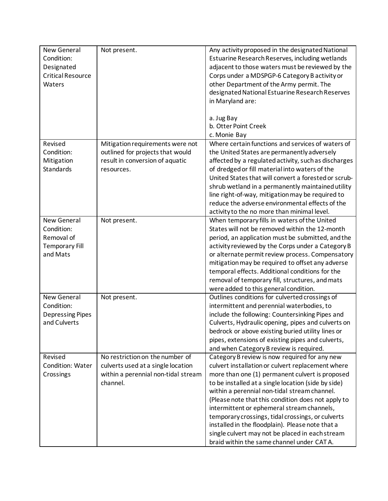| Condition:<br>Estuarine Research Reserves, including wetlands<br>adjacent to those waters must be reviewed by the<br>Designated<br><b>Critical Resource</b><br>Corps under a MDSPGP-6 Category B activity or<br>Waters<br>other Department of the Army permit. The<br>designated National Estuarine Research Reserves<br>in Maryland are:<br>a. Jug Bay<br>b. Otter Point Creek<br>c. Monie Bay<br>Where certain functions and services of waters of<br>Revised<br>Mitigation requirements were not<br>Condition:<br>outlined for projects that would<br>the United States are permanently adversely | New General | Not present.                    | Any activity proposed in the designated National     |
|------------------------------------------------------------------------------------------------------------------------------------------------------------------------------------------------------------------------------------------------------------------------------------------------------------------------------------------------------------------------------------------------------------------------------------------------------------------------------------------------------------------------------------------------------------------------------------------------------|-------------|---------------------------------|------------------------------------------------------|
|                                                                                                                                                                                                                                                                                                                                                                                                                                                                                                                                                                                                      |             |                                 |                                                      |
|                                                                                                                                                                                                                                                                                                                                                                                                                                                                                                                                                                                                      |             |                                 |                                                      |
|                                                                                                                                                                                                                                                                                                                                                                                                                                                                                                                                                                                                      |             |                                 |                                                      |
|                                                                                                                                                                                                                                                                                                                                                                                                                                                                                                                                                                                                      |             |                                 |                                                      |
|                                                                                                                                                                                                                                                                                                                                                                                                                                                                                                                                                                                                      |             |                                 |                                                      |
|                                                                                                                                                                                                                                                                                                                                                                                                                                                                                                                                                                                                      |             |                                 |                                                      |
|                                                                                                                                                                                                                                                                                                                                                                                                                                                                                                                                                                                                      |             |                                 |                                                      |
|                                                                                                                                                                                                                                                                                                                                                                                                                                                                                                                                                                                                      |             |                                 |                                                      |
|                                                                                                                                                                                                                                                                                                                                                                                                                                                                                                                                                                                                      |             |                                 |                                                      |
|                                                                                                                                                                                                                                                                                                                                                                                                                                                                                                                                                                                                      |             |                                 |                                                      |
|                                                                                                                                                                                                                                                                                                                                                                                                                                                                                                                                                                                                      |             |                                 |                                                      |
|                                                                                                                                                                                                                                                                                                                                                                                                                                                                                                                                                                                                      |             |                                 |                                                      |
| Mitigation                                                                                                                                                                                                                                                                                                                                                                                                                                                                                                                                                                                           |             | result in conversion of aquatic | affected by a regulated activity, such as discharges |
| Standards<br>of dredged or fill material into waters of the<br>resources.                                                                                                                                                                                                                                                                                                                                                                                                                                                                                                                            |             |                                 |                                                      |
| United States that will convert a forested or scrub-                                                                                                                                                                                                                                                                                                                                                                                                                                                                                                                                                 |             |                                 |                                                      |
| shrub wetland in a permanently maintained utility                                                                                                                                                                                                                                                                                                                                                                                                                                                                                                                                                    |             |                                 |                                                      |
| line right-of-way, mitigation may be required to                                                                                                                                                                                                                                                                                                                                                                                                                                                                                                                                                     |             |                                 |                                                      |
| reduce the adverse environmental effects of the                                                                                                                                                                                                                                                                                                                                                                                                                                                                                                                                                      |             |                                 |                                                      |
|                                                                                                                                                                                                                                                                                                                                                                                                                                                                                                                                                                                                      |             |                                 |                                                      |
| activity to the no more than minimal level.<br><b>New General</b>                                                                                                                                                                                                                                                                                                                                                                                                                                                                                                                                    |             |                                 |                                                      |
| When temporary fills in waters of the United<br>Not present.                                                                                                                                                                                                                                                                                                                                                                                                                                                                                                                                         |             |                                 |                                                      |
| States will not be removed within the 12-month<br>Condition:                                                                                                                                                                                                                                                                                                                                                                                                                                                                                                                                         |             |                                 |                                                      |
| Removal of<br>period, an application must be submitted, and the                                                                                                                                                                                                                                                                                                                                                                                                                                                                                                                                      |             |                                 |                                                      |
| <b>Temporary Fill</b><br>activity reviewed by the Corps under a Category B                                                                                                                                                                                                                                                                                                                                                                                                                                                                                                                           |             |                                 |                                                      |
| and Mats                                                                                                                                                                                                                                                                                                                                                                                                                                                                                                                                                                                             |             |                                 | or alternate permit review process. Compensatory     |
| mitigation may be required to offset any adverse                                                                                                                                                                                                                                                                                                                                                                                                                                                                                                                                                     |             |                                 |                                                      |
| temporal effects. Additional conditions for the                                                                                                                                                                                                                                                                                                                                                                                                                                                                                                                                                      |             |                                 |                                                      |
| removal of temporary fill, structures, and mats                                                                                                                                                                                                                                                                                                                                                                                                                                                                                                                                                      |             |                                 |                                                      |
| were added to this general condition.                                                                                                                                                                                                                                                                                                                                                                                                                                                                                                                                                                |             |                                 |                                                      |
| <b>New General</b><br>Outlines conditions for culverted crossings of<br>Not present.                                                                                                                                                                                                                                                                                                                                                                                                                                                                                                                 |             |                                 |                                                      |
| Condition:<br>intermittent and perennial waterbodies, to                                                                                                                                                                                                                                                                                                                                                                                                                                                                                                                                             |             |                                 |                                                      |
| include the following: Countersinking Pipes and<br><b>Depressing Pipes</b>                                                                                                                                                                                                                                                                                                                                                                                                                                                                                                                           |             |                                 |                                                      |
| and Culverts<br>Culverts, Hydraulic opening, pipes and culverts on                                                                                                                                                                                                                                                                                                                                                                                                                                                                                                                                   |             |                                 |                                                      |
| bedrock or above existing buried utility lines or                                                                                                                                                                                                                                                                                                                                                                                                                                                                                                                                                    |             |                                 |                                                      |
| pipes, extensions of existing pipes and culverts,                                                                                                                                                                                                                                                                                                                                                                                                                                                                                                                                                    |             |                                 |                                                      |
| and when Category B review is required.                                                                                                                                                                                                                                                                                                                                                                                                                                                                                                                                                              |             |                                 |                                                      |
| No restriction on the number of<br>Category B review is now required for any new<br>Revised                                                                                                                                                                                                                                                                                                                                                                                                                                                                                                          |             |                                 |                                                      |
| <b>Condition: Water</b><br>culverts used at a single location<br>culvert installation or culvert replacement where                                                                                                                                                                                                                                                                                                                                                                                                                                                                                   |             |                                 |                                                      |
| within a perennial non-tidal stream<br>more than one (1) permanent culvert is proposed<br>Crossings                                                                                                                                                                                                                                                                                                                                                                                                                                                                                                  |             |                                 |                                                      |
| channel.<br>to be installed at a single location (side by side)                                                                                                                                                                                                                                                                                                                                                                                                                                                                                                                                      |             |                                 |                                                      |
| within a perennial non-tidal stream channel.                                                                                                                                                                                                                                                                                                                                                                                                                                                                                                                                                         |             |                                 |                                                      |
| (Please note that this condition does not apply to                                                                                                                                                                                                                                                                                                                                                                                                                                                                                                                                                   |             |                                 |                                                      |
| intermittent or ephemeral stream channels,                                                                                                                                                                                                                                                                                                                                                                                                                                                                                                                                                           |             |                                 |                                                      |
| temporary crossings, tidal crossings, or culverts                                                                                                                                                                                                                                                                                                                                                                                                                                                                                                                                                    |             |                                 |                                                      |
| installed in the floodplain). Please note that a                                                                                                                                                                                                                                                                                                                                                                                                                                                                                                                                                     |             |                                 |                                                      |
| single culvert may not be placed in each stream                                                                                                                                                                                                                                                                                                                                                                                                                                                                                                                                                      |             |                                 |                                                      |
| braid within the same channel under CATA.                                                                                                                                                                                                                                                                                                                                                                                                                                                                                                                                                            |             |                                 |                                                      |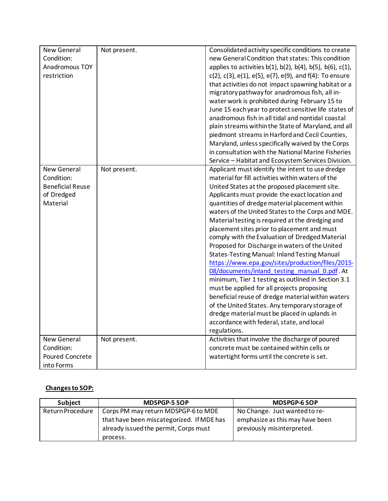| New General             | Not present. | Consolidated activity specific conditions to create                          |
|-------------------------|--------------|------------------------------------------------------------------------------|
| Condition:              |              | new General Condition that states: This condition                            |
| Anadromous TOY          |              | applies to activities $b(1)$ , $b(2)$ , $b(4)$ , $b(5)$ , $b(6)$ , $c(1)$ ,  |
| restriction             |              | $c(2)$ , $c(3)$ , $e(1)$ , $e(5)$ , $e(7)$ , $e(9)$ , and $f(4)$ : To ensure |
|                         |              | that activities do not impact spawning habitat or a                          |
|                         |              | migratory pathway for anadromous fish, all in-                               |
|                         |              | water work is prohibited during February 15 to                               |
|                         |              | June 15 each year to protect sensitive life states of                        |
|                         |              | anadromous fish in all tidal and nontidal coastal                            |
|                         |              | plain streams within the State of Maryland, and all                          |
|                         |              | piedmont streams in Harford and Cecil Counties,                              |
|                         |              | Maryland, unless specifically waived by the Corps                            |
|                         |              | in consultation with the National Marine Fisheries                           |
|                         |              | Service - Habitat and Ecosystem Services Division.                           |
| <b>New General</b>      | Not present. | Applicant must identify the intent to use dredge                             |
| Condition:              |              | material for fill activities within waters of the                            |
| <b>Beneficial Reuse</b> |              | United States at the proposed placement site.                                |
| of Dredged              |              | Applicants must provide the exact location and                               |
| Material                |              | quantities of dredge material placement within                               |
|                         |              | waters of the United States to the Corps and MDE.                            |
|                         |              | Material testing is required at the dredging and                             |
|                         |              | placement sites prior to placement and must                                  |
|                         |              | comply with the Evaluation of Dredged Material                               |
|                         |              | Proposed for Discharge in waters of the United                               |
|                         |              | <b>States-Testing Manual: Inland Testing Manual</b>                          |
|                         |              | https://www.epa.gov/sites/production/files/2015-                             |
|                         |              | 08/documents/inland_testing_manual_0.pdf. At                                 |
|                         |              | minimum, Tier 1 testing as outlined in Section 3.1                           |
|                         |              | must be applied for all projects proposing                                   |
|                         |              | beneficial reuse of dredge material within waters                            |
|                         |              | of the United States. Any temporary storage of                               |
|                         |              | dredge material must be placed in uplands in                                 |
|                         |              | accordance with federal, state, and local                                    |
|                         |              | regulations.                                                                 |
| <b>New General</b>      | Not present. | Activities that involve the discharge of poured                              |
| Condition:              |              | concrete must be contained within cells or                                   |
| Poured Concrete         |              | watertight forms until the concrete is set.                                  |
| into Forms              |              |                                                                              |
|                         |              |                                                                              |

## **Changes to SOP:**

| Subject          | <b>MDSPGP-5 SOP</b>                       | <b>MDSPGP-6 SOP</b>             |
|------------------|-------------------------------------------|---------------------------------|
| Return Procedure | Corps PM may return MDSPGP-6 to MDE       | No Change. Just wanted to re-   |
|                  | that have been miscategorized. If MDE has | emphasize as this may have been |
|                  | already issued the permit, Corps must     | previously misinterpreted.      |
|                  | process.                                  |                                 |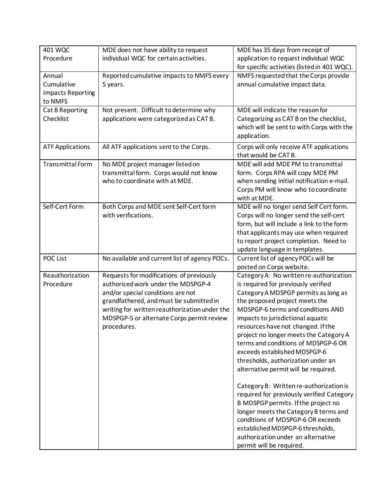| <b>401 WQC</b>           | MDE does not have ability to request                                     | MDE has 35 days from receipt of                                              |
|--------------------------|--------------------------------------------------------------------------|------------------------------------------------------------------------------|
| Procedure                | individual WQC for certain activities.                                   | application to request individual WQC                                        |
|                          |                                                                          | for specific activities (listed in 401 WQC).                                 |
| Annual                   | Reported cumulative impacts to NMFS every                                | NMFS requested that the Corps provide                                        |
| Cumulative               | 5 years.                                                                 | annual cumulative impact data.                                               |
| <b>Impacts Reporting</b> |                                                                          |                                                                              |
| to NMFS                  |                                                                          |                                                                              |
| Cat B Reporting          | Not present. Difficult to determine why                                  | MDE will indicate the reason for                                             |
| Checklist                | applications were categorized as CAT B.                                  | Categorizing as CAT B on the checklist,                                      |
|                          |                                                                          | which will be sent to with Corps with the                                    |
|                          |                                                                          | application.                                                                 |
| <b>ATF Applications</b>  | All ATF applications sent to the Corps.                                  | Corps will only receive ATF applications                                     |
|                          |                                                                          | that would be CAT B.                                                         |
| Transmittal Form         | No MDE project manager listed on                                         | MDE will add MDE PM to transmittal                                           |
|                          | transmittal form. Corps would not know<br>who to coordinate with at MDE. | form. Corps RPA will copy MDE PM                                             |
|                          |                                                                          | when sending initial notification e-mail.                                    |
|                          |                                                                          | Corps PM will know who to coordinate<br>with at MDE.                         |
| Self-Cert Form           | Both Corps and MDE sent Self-Cert form                                   | MDE will no longer send Self Cert form.                                      |
|                          | with verifications.                                                      | Corps will no longer send the self-cert                                      |
|                          |                                                                          | form, but will include a link to the form                                    |
|                          |                                                                          | that applicants may use when required                                        |
|                          |                                                                          | to report project completion. Need to                                        |
|                          |                                                                          | update language in templates.                                                |
| POC List                 | No available and current list of agency POCs.                            | Current list of agency POCs will be                                          |
|                          |                                                                          | posted on Corps website.                                                     |
| Reauthorization          | Requests for modifications of previously                                 | Category A: No written re-authorization                                      |
| Procedure                | authorized work under the MDSPGP-4                                       | is required for previously verified                                          |
|                          | and/or special conditions are not                                        | Category A MDSPGP permits as long as                                         |
|                          | grandfathered, and must be submitted in                                  | the proposed project meets the                                               |
|                          | writing for written reauthorization under the                            | MDSPGP-6 terms and conditions AND                                            |
|                          | MDSPGP-5 or alternate Corps permit review                                | impacts to jurisdictional aquatic                                            |
|                          | procedures.                                                              | resources have not changed. If the<br>project no longer meets the Category A |
|                          |                                                                          | terms and conditions of MDSPGP-6 OR                                          |
|                          |                                                                          | exceeds established MDSPGP-6                                                 |
|                          |                                                                          | thresholds, authorization under an                                           |
|                          |                                                                          | alternative permit will be required.                                         |
|                          |                                                                          |                                                                              |
|                          |                                                                          | Category B: Written re-authorization is                                      |
|                          |                                                                          | required for previously verified Category                                    |
|                          |                                                                          | B MDSPGP permits. If the project no                                          |
|                          |                                                                          | longer meets the Category B terms and                                        |
|                          |                                                                          | conditions of MDSPGP-6 OR exceeds                                            |
|                          |                                                                          | established MDSPGP-6 thresholds,                                             |
|                          |                                                                          | authorization under an alternative                                           |
|                          |                                                                          | permit will be required.                                                     |